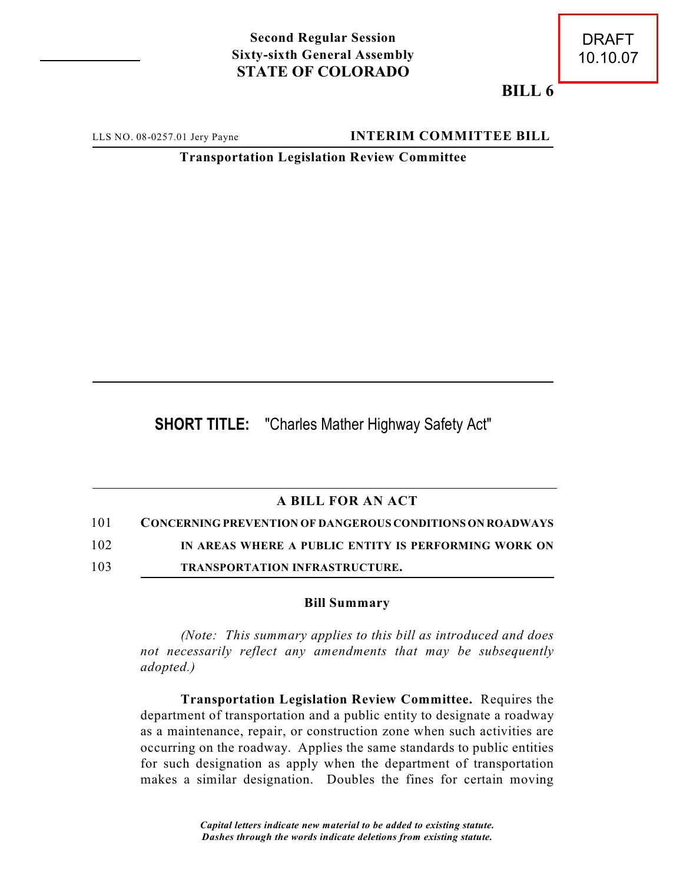## **Second Regular Session Sixty-sixth General Assembly STATE OF COLORADO**

**BILL 6**

LLS NO. 08-0257.01 Jery Payne **INTERIM COMMITTEE BILL** 

**Transportation Legislation Review Committee**

**SHORT TITLE:** "Charles Mather Highway Safety Act"

## **A BILL FOR AN ACT**

101 **CONCERNING PREVENTION OF DANGEROUS CONDITIONS ON ROADWAYS**

102 **IN AREAS WHERE A PUBLIC ENTITY IS PERFORMING WORK ON**

103 **TRANSPORTATION INFRASTRUCTURE.**

## **Bill Summary**

*(Note: This summary applies to this bill as introduced and does not necessarily reflect any amendments that may be subsequently adopted.)*

**Transportation Legislation Review Committee.** Requires the department of transportation and a public entity to designate a roadway as a maintenance, repair, or construction zone when such activities are occurring on the roadway. Applies the same standards to public entities for such designation as apply when the department of transportation makes a similar designation. Doubles the fines for certain moving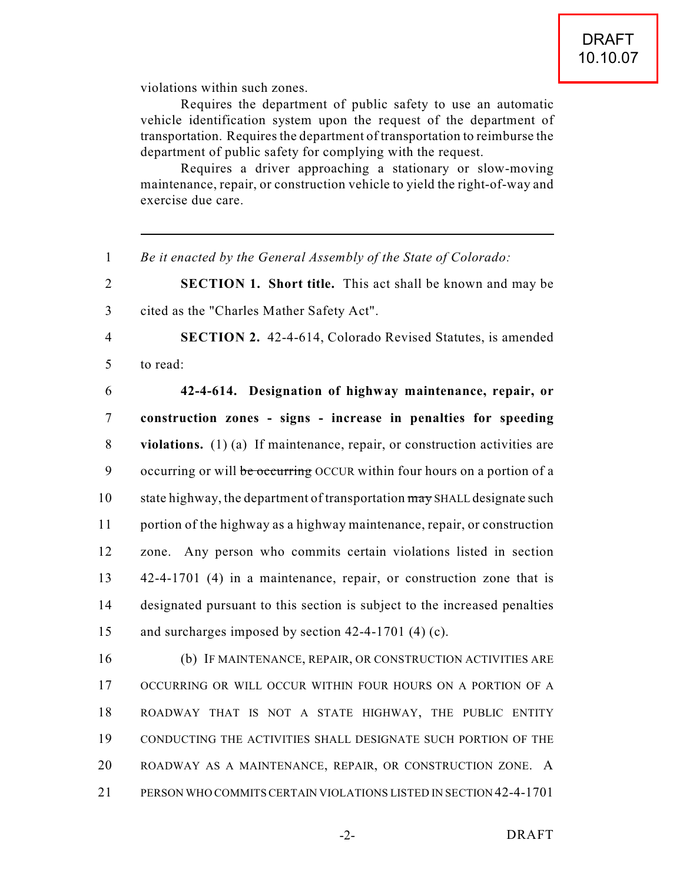violations within such zones.

Requires the department of public safety to use an automatic vehicle identification system upon the request of the department of transportation. Requires the department of transportation to reimburse the department of public safety for complying with the request.

Requires a driver approaching a stationary or slow-moving maintenance, repair, or construction vehicle to yield the right-of-way and exercise due care.

1 *Be it enacted by the General Assembly of the State of Colorado:*

2 **SECTION 1. Short title.** This act shall be known and may be 3 cited as the "Charles Mather Safety Act".

4 **SECTION 2.** 42-4-614, Colorado Revised Statutes, is amended 5 to read:

 **42-4-614. Designation of highway maintenance, repair, or construction zones - signs - increase in penalties for speeding violations.** (1) (a) If maintenance, repair, or construction activities are 9 occurring or will be occurring OCCUR within four hours on a portion of a 10 state highway, the department of transportation may SHALL designate such portion of the highway as a highway maintenance, repair, or construction zone. Any person who commits certain violations listed in section 42-4-1701 (4) in a maintenance, repair, or construction zone that is designated pursuant to this section is subject to the increased penalties and surcharges imposed by section 42-4-1701 (4) (c).

 (b) IF MAINTENANCE, REPAIR, OR CONSTRUCTION ACTIVITIES ARE OCCURRING OR WILL OCCUR WITHIN FOUR HOURS ON A PORTION OF A ROADWAY THAT IS NOT A STATE HIGHWAY, THE PUBLIC ENTITY CONDUCTING THE ACTIVITIES SHALL DESIGNATE SUCH PORTION OF THE ROADWAY AS A MAINTENANCE, REPAIR, OR CONSTRUCTION ZONE. A PERSON WHO COMMITS CERTAIN VIOLATIONS LISTED IN SECTION 42-4-1701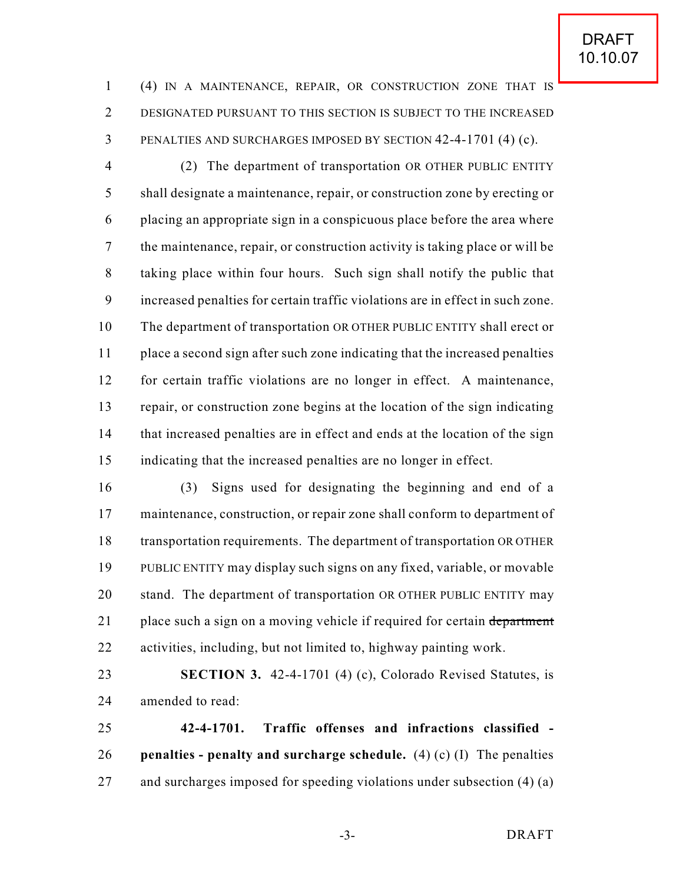(4) IN A MAINTENANCE, REPAIR, OR CONSTRUCTION ZONE THAT IS DESIGNATED PURSUANT TO THIS SECTION IS SUBJECT TO THE INCREASED PENALTIES AND SURCHARGES IMPOSED BY SECTION 42-4-1701 (4) (c).

 (2) The department of transportation OR OTHER PUBLIC ENTITY shall designate a maintenance, repair, or construction zone by erecting or placing an appropriate sign in a conspicuous place before the area where the maintenance, repair, or construction activity is taking place or will be taking place within four hours. Such sign shall notify the public that increased penalties for certain traffic violations are in effect in such zone. The department of transportation OR OTHER PUBLIC ENTITY shall erect or place a second sign after such zone indicating that the increased penalties for certain traffic violations are no longer in effect. A maintenance, repair, or construction zone begins at the location of the sign indicating that increased penalties are in effect and ends at the location of the sign indicating that the increased penalties are no longer in effect.

 (3) Signs used for designating the beginning and end of a maintenance, construction, or repair zone shall conform to department of transportation requirements. The department of transportation OR OTHER PUBLIC ENTITY may display such signs on any fixed, variable, or movable 20 stand. The department of transportation OR OTHER PUBLIC ENTITY may 21 place such a sign on a moving vehicle if required for certain department activities, including, but not limited to, highway painting work.

 **SECTION 3.** 42-4-1701 (4) (c), Colorado Revised Statutes, is amended to read:

 **42-4-1701. Traffic offenses and infractions classified - penalties - penalty and surcharge schedule.** (4) (c) (I) The penalties and surcharges imposed for speeding violations under subsection (4) (a)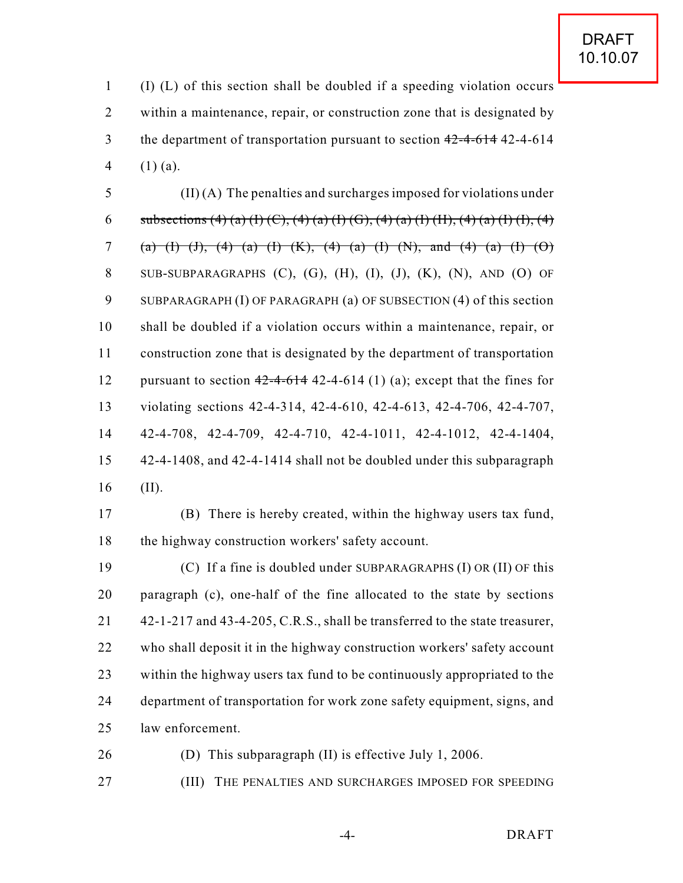(I) (L) of this section shall be doubled if a speeding violation occurs within a maintenance, repair, or construction zone that is designated by 3 the department of transportation pursuant to section  $42-4-614$  42-4-614 4  $(1)$  (a).

 (II) (A) The penalties and surcharges imposed for violations under 6 subsections (4) (a) (I) (C), (4) (a) (I) (G), (4) (a) (I) (H), (4) (a) (I) (I), (4) 7 (a) (I) (J), (4) (a) (I) (K), (4) (a) (I) (N), and (4) (a) (I) (O) SUB-SUBPARAGRAPHS (C), (G), (H), (I), (J), (K), (N), AND (O) OF SUBPARAGRAPH (I) OF PARAGRAPH (a) OF SUBSECTION (4) of this section shall be doubled if a violation occurs within a maintenance, repair, or construction zone that is designated by the department of transportation 12 pursuant to section  $42-4-614$  42-4-614 (1) (a); except that the fines for violating sections 42-4-314, 42-4-610, 42-4-613, 42-4-706, 42-4-707, 42-4-708, 42-4-709, 42-4-710, 42-4-1011, 42-4-1012, 42-4-1404, 42-4-1408, and 42-4-1414 shall not be doubled under this subparagraph (II).

 (B) There is hereby created, within the highway users tax fund, 18 the highway construction workers' safety account.

 (C) If a fine is doubled under SUBPARAGRAPHS (I) OR (II) OF this paragraph (c), one-half of the fine allocated to the state by sections 21 42-1-217 and 43-4-205, C.R.S., shall be transferred to the state treasurer, who shall deposit it in the highway construction workers' safety account within the highway users tax fund to be continuously appropriated to the department of transportation for work zone safety equipment, signs, and law enforcement.

(D) This subparagraph (II) is effective July 1, 2006.

(III) THE PENALTIES AND SURCHARGES IMPOSED FOR SPEEDING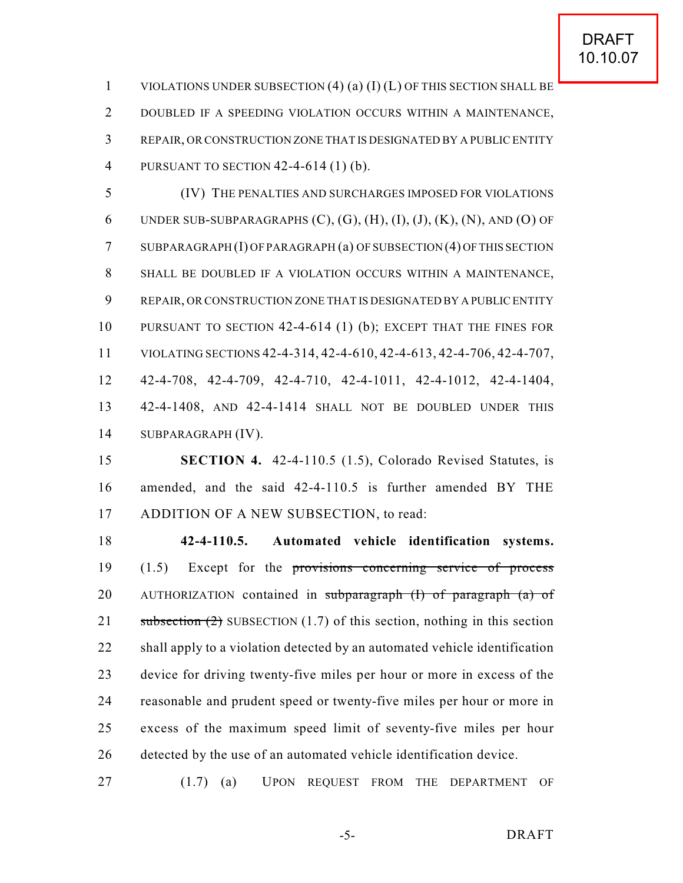VIOLATIONS UNDER SUBSECTION (4) (a) (I) (L) OF THIS SECTION SHALL BE DOUBLED IF A SPEEDING VIOLATION OCCURS WITHIN A MAINTENANCE, REPAIR, OR CONSTRUCTION ZONE THAT IS DESIGNATED BY A PUBLIC ENTITY PURSUANT TO SECTION 42-4-614 (1) (b).

 (IV) THE PENALTIES AND SURCHARGES IMPOSED FOR VIOLATIONS 6 UNDER SUB-SUBPARAGRAPHS  $(C)$ ,  $(G)$ ,  $(H)$ ,  $(I)$ ,  $(I)$ ,  $(K)$ ,  $(N)$ ,  $AND$   $(O)$  of SUBPARAGRAPH (I) OF PARAGRAPH (a) OF SUBSECTION (4) OF THIS SECTION SHALL BE DOUBLED IF A VIOLATION OCCURS WITHIN A MAINTENANCE, REPAIR, OR CONSTRUCTION ZONE THAT IS DESIGNATED BY A PUBLIC ENTITY PURSUANT TO SECTION 42-4-614 (1) (b); EXCEPT THAT THE FINES FOR VIOLATING SECTIONS 42-4-314, 42-4-610, 42-4-613, 42-4-706, 42-4-707, 42-4-708, 42-4-709, 42-4-710, 42-4-1011, 42-4-1012, 42-4-1404, 42-4-1408, AND 42-4-1414 SHALL NOT BE DOUBLED UNDER THIS SUBPARAGRAPH (IV).

 **SECTION 4.** 42-4-110.5 (1.5), Colorado Revised Statutes, is amended, and the said 42-4-110.5 is further amended BY THE 17 ADDITION OF A NEW SUBSECTION, to read:

 **42-4-110.5. Automated vehicle identification systems.** (1.5) Except for the provisions concerning service of process 20 AUTHORIZATION contained in subparagraph (I) of paragraph (a) of 21 subsection  $(2)$  SUBSECTION  $(1.7)$  of this section, nothing in this section shall apply to a violation detected by an automated vehicle identification device for driving twenty-five miles per hour or more in excess of the reasonable and prudent speed or twenty-five miles per hour or more in excess of the maximum speed limit of seventy-five miles per hour detected by the use of an automated vehicle identification device.

(1.7) (a) UPON REQUEST FROM THE DEPARTMENT OF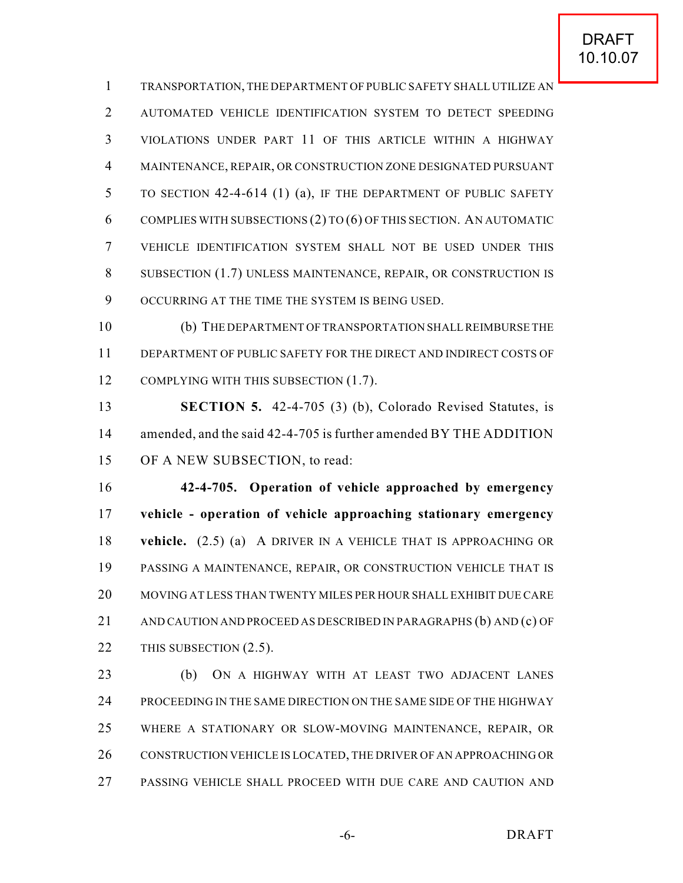TRANSPORTATION, THE DEPARTMENT OF PUBLIC SAFETY SHALL UTILIZE AN AUTOMATED VEHICLE IDENTIFICATION SYSTEM TO DETECT SPEEDING VIOLATIONS UNDER PART 11 OF THIS ARTICLE WITHIN A HIGHWAY MAINTENANCE, REPAIR, OR CONSTRUCTION ZONE DESIGNATED PURSUANT TO SECTION 42-4-614 (1) (a), IF THE DEPARTMENT OF PUBLIC SAFETY COMPLIES WITH SUBSECTIONS (2) TO (6) OF THIS SECTION. AN AUTOMATIC VEHICLE IDENTIFICATION SYSTEM SHALL NOT BE USED UNDER THIS SUBSECTION (1.7) UNLESS MAINTENANCE, REPAIR, OR CONSTRUCTION IS OCCURRING AT THE TIME THE SYSTEM IS BEING USED.

 (b) THE DEPARTMENT OF TRANSPORTATION SHALL REIMBURSE THE DEPARTMENT OF PUBLIC SAFETY FOR THE DIRECT AND INDIRECT COSTS OF 12 COMPLYING WITH THIS SUBSECTION (1.7).

 **SECTION 5.** 42-4-705 (3) (b), Colorado Revised Statutes, is 14 amended, and the said 42-4-705 is further amended BY THE ADDITION OF A NEW SUBSECTION, to read:

 **42-4-705. Operation of vehicle approached by emergency vehicle - operation of vehicle approaching stationary emergency vehicle.** (2.5) (a) A DRIVER IN A VEHICLE THAT IS APPROACHING OR PASSING A MAINTENANCE, REPAIR, OR CONSTRUCTION VEHICLE THAT IS MOVING AT LESS THAN TWENTY MILES PER HOUR SHALL EXHIBIT DUE CARE AND CAUTION AND PROCEED AS DESCRIBED IN PARAGRAPHS (b) AND (c) OF 22 THIS SUBSECTION (2.5).

 (b) ON A HIGHWAY WITH AT LEAST TWO ADJACENT LANES PROCEEDING IN THE SAME DIRECTION ON THE SAME SIDE OF THE HIGHWAY WHERE A STATIONARY OR SLOW-MOVING MAINTENANCE, REPAIR, OR CONSTRUCTION VEHICLE IS LOCATED, THE DRIVER OF AN APPROACHING OR PASSING VEHICLE SHALL PROCEED WITH DUE CARE AND CAUTION AND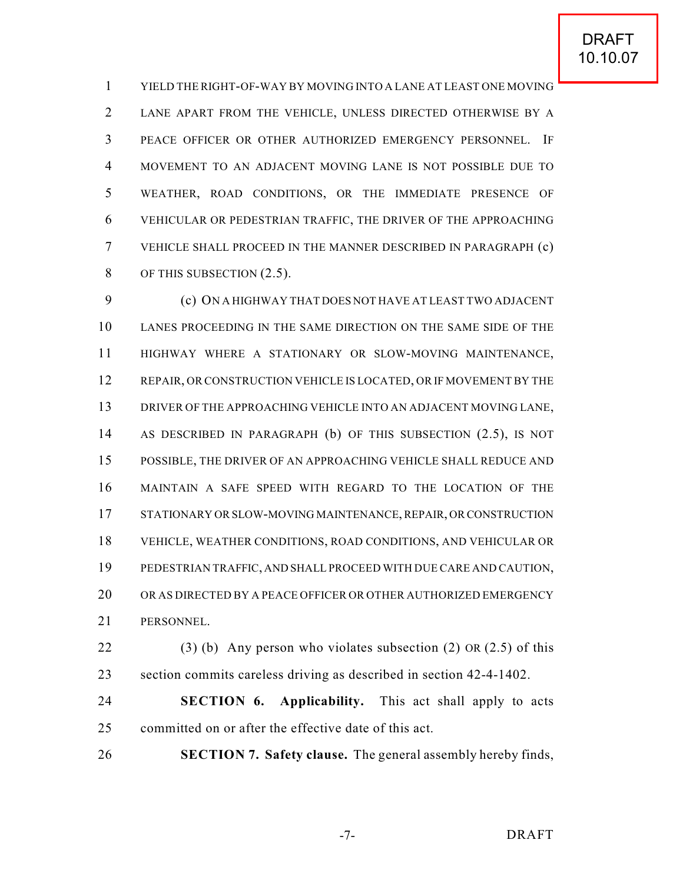YIELD THE RIGHT-OF-WAY BY MOVING INTO A LANE AT LEAST ONE MOVING LANE APART FROM THE VEHICLE, UNLESS DIRECTED OTHERWISE BY A PEACE OFFICER OR OTHER AUTHORIZED EMERGENCY PERSONNEL. IF MOVEMENT TO AN ADJACENT MOVING LANE IS NOT POSSIBLE DUE TO WEATHER, ROAD CONDITIONS, OR THE IMMEDIATE PRESENCE OF VEHICULAR OR PEDESTRIAN TRAFFIC, THE DRIVER OF THE APPROACHING VEHICLE SHALL PROCEED IN THE MANNER DESCRIBED IN PARAGRAPH (c) 8 OF THIS SUBSECTION  $(2.5)$ .

 (c) ON A HIGHWAY THAT DOES NOT HAVE AT LEAST TWO ADJACENT LANES PROCEEDING IN THE SAME DIRECTION ON THE SAME SIDE OF THE HIGHWAY WHERE A STATIONARY OR SLOW-MOVING MAINTENANCE, 12 REPAIR, OR CONSTRUCTION VEHICLE IS LOCATED, OR IF MOVEMENT BY THE DRIVER OF THE APPROACHING VEHICLE INTO AN ADJACENT MOVING LANE, AS DESCRIBED IN PARAGRAPH (b) OF THIS SUBSECTION (2.5), IS NOT POSSIBLE, THE DRIVER OF AN APPROACHING VEHICLE SHALL REDUCE AND MAINTAIN A SAFE SPEED WITH REGARD TO THE LOCATION OF THE STATIONARY OR SLOW-MOVING MAINTENANCE, REPAIR, OR CONSTRUCTION VEHICLE, WEATHER CONDITIONS, ROAD CONDITIONS, AND VEHICULAR OR PEDESTRIAN TRAFFIC, AND SHALL PROCEED WITH DUE CARE AND CAUTION, OR AS DIRECTED BY A PEACE OFFICER OR OTHER AUTHORIZED EMERGENCY PERSONNEL.

22 (3) (b) Any person who violates subsection (2) OR (2.5) of this section commits careless driving as described in section 42-4-1402.

 **SECTION 6. Applicability.** This act shall apply to acts committed on or after the effective date of this act.

**SECTION 7. Safety clause.** The general assembly hereby finds,